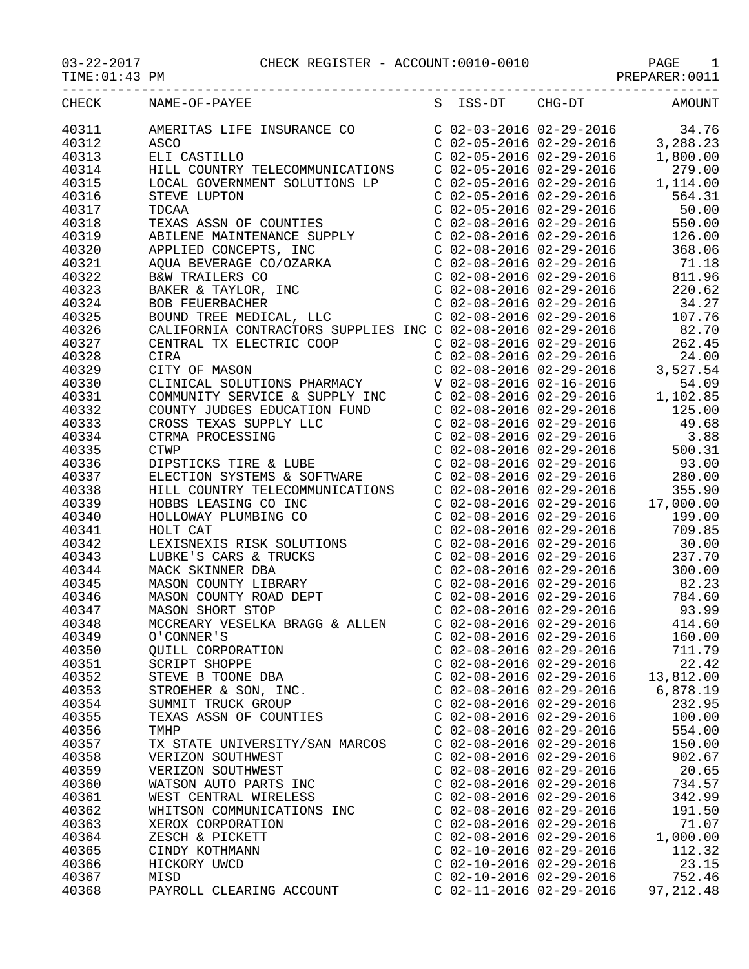## 03-22-2017 CHECK REGISTER - ACCOUNT:0010-0010 PAGE 1

PREPARER:0011

| TIME: 01: 43 PM |                                                             |                           |          | PREPARER: 0011                    |
|-----------------|-------------------------------------------------------------|---------------------------|----------|-----------------------------------|
| CHECK           | NAME-OF-PAYEE                                               | S ISS-DT                  | $CHG-DT$ | AMOUNT                            |
| 40311           | AMERITAS LIFE INSURANCE CO                                  |                           |          | C $02-03-2016$ $02-29-2016$ 34.76 |
| 40312           | ASCO                                                        | C 02-05-2016 02-29-2016   |          | 3,288.23                          |
| 40313           | ELI CASTILLO                                                | C 02-05-2016 02-29-2016   |          | 1,800.00                          |
| 40314           | HILL COUNTRY TELECOMMUNICATIONS                             | C 02-05-2016 02-29-2016   |          | 279.00                            |
| 40315           | LOCAL GOVERNMENT SOLUTIONS LP                               | C 02-05-2016 02-29-2016   |          | 1,114.00                          |
| 40316           | STEVE LUPTON                                                | $C$ 02-05-2016 02-29-2016 |          | 564.31                            |
| 40317           | TDCAA                                                       | C 02-05-2016 02-29-2016   |          | 50.00                             |
| 40318           | TEXAS ASSN OF COUNTIES                                      | C 02-08-2016 02-29-2016   |          | 550.00                            |
| 40319           | ABILENE MAINTENANCE SUPPLY                                  | C 02-08-2016 02-29-2016   |          | 126.00                            |
| 40320           | APPLIED CONCEPTS, INC                                       | C 02-08-2016 02-29-2016   |          | 368.06                            |
| 40321           | AQUA BEVERAGE CO/OZARKA                                     | $C$ 02-08-2016 02-29-2016 |          | 71.18                             |
| 40322           | B&W TRAILERS CO                                             | C 02-08-2016 02-29-2016   |          | 811.96                            |
| 40323           | BAKER & TAYLOR, INC                                         | $C$ 02-08-2016 02-29-2016 |          | 220.62                            |
| 40324           | <b>BOB FEUERBACHER</b>                                      | C 02-08-2016 02-29-2016   |          | 34.27                             |
| 40325           | BOUND TREE MEDICAL, LLC                                     | C 02-08-2016 02-29-2016   |          | 107.76                            |
| 40326           | CALIFORNIA CONTRACTORS SUPPLIES INC C 02-08-2016 02-29-2016 |                           |          | 82.70                             |
| 40327           | CENTRAL TX ELECTRIC COOP                                    | C 02-08-2016 02-29-2016   |          | 262.45                            |
| 40328           | CIRA                                                        | C 02-08-2016 02-29-2016   |          | 24.00                             |
| 40329           | CITY OF MASON                                               | C 02-08-2016 02-29-2016   |          | 3,527.54                          |
| 40330           | CLINICAL SOLUTIONS PHARMACY                                 | V 02-08-2016 02-16-2016   |          | 54 09                             |

| <b>10010</b><br>40316 | $\begin{tabular}{l c c c c} \hline \textbf{STWER} & \textbf{LSPONR} & \textbf{C} & 02-04-2016 & 02-29-2016 & 02-29-2016 \\ \hline \textbf{STWER} & \textbf{RMSR} & \textbf{SSE} & \textbf{C} & 02-08-2016 & 02-29-2016 & 02-29-2016 \\ \hline \textbf{APLER} & \textbf{RMSR} & \textbf{RMSR} & \textbf{C} & 02-08-2016 & 02-29-2016 \\ \hline \textbf$ |  |                           |                                  |
|-----------------------|--------------------------------------------------------------------------------------------------------------------------------------------------------------------------------------------------------------------------------------------------------------------------------------------------------------------------------------------------------|--|---------------------------|----------------------------------|
| 40317                 |                                                                                                                                                                                                                                                                                                                                                        |  |                           |                                  |
| 40318                 |                                                                                                                                                                                                                                                                                                                                                        |  |                           |                                  |
| 40319                 |                                                                                                                                                                                                                                                                                                                                                        |  |                           |                                  |
| 40320                 |                                                                                                                                                                                                                                                                                                                                                        |  |                           |                                  |
| 40321                 |                                                                                                                                                                                                                                                                                                                                                        |  |                           |                                  |
| 40322                 |                                                                                                                                                                                                                                                                                                                                                        |  |                           |                                  |
| 40323                 |                                                                                                                                                                                                                                                                                                                                                        |  |                           |                                  |
| 40324                 |                                                                                                                                                                                                                                                                                                                                                        |  |                           |                                  |
| 40325                 |                                                                                                                                                                                                                                                                                                                                                        |  |                           |                                  |
| 40326                 |                                                                                                                                                                                                                                                                                                                                                        |  |                           |                                  |
| 40327                 |                                                                                                                                                                                                                                                                                                                                                        |  |                           |                                  |
| 40328                 |                                                                                                                                                                                                                                                                                                                                                        |  |                           |                                  |
| 40329                 |                                                                                                                                                                                                                                                                                                                                                        |  |                           |                                  |
| 40330                 |                                                                                                                                                                                                                                                                                                                                                        |  |                           |                                  |
| 40331                 |                                                                                                                                                                                                                                                                                                                                                        |  |                           |                                  |
| 40332                 |                                                                                                                                                                                                                                                                                                                                                        |  |                           |                                  |
| 40333                 |                                                                                                                                                                                                                                                                                                                                                        |  |                           |                                  |
|                       |                                                                                                                                                                                                                                                                                                                                                        |  |                           |                                  |
| 40334<br>40335        |                                                                                                                                                                                                                                                                                                                                                        |  |                           |                                  |
|                       |                                                                                                                                                                                                                                                                                                                                                        |  |                           |                                  |
| 40336                 |                                                                                                                                                                                                                                                                                                                                                        |  |                           |                                  |
| 40337                 |                                                                                                                                                                                                                                                                                                                                                        |  |                           |                                  |
| 40338                 |                                                                                                                                                                                                                                                                                                                                                        |  |                           |                                  |
| 40339                 |                                                                                                                                                                                                                                                                                                                                                        |  |                           |                                  |
| 40340                 |                                                                                                                                                                                                                                                                                                                                                        |  |                           |                                  |
| 40341                 |                                                                                                                                                                                                                                                                                                                                                        |  |                           |                                  |
| 40342                 |                                                                                                                                                                                                                                                                                                                                                        |  |                           |                                  |
| 40343                 |                                                                                                                                                                                                                                                                                                                                                        |  |                           |                                  |
| 40344                 |                                                                                                                                                                                                                                                                                                                                                        |  |                           |                                  |
| 40345                 |                                                                                                                                                                                                                                                                                                                                                        |  |                           |                                  |
| 40346                 |                                                                                                                                                                                                                                                                                                                                                        |  |                           |                                  |
| 40347                 |                                                                                                                                                                                                                                                                                                                                                        |  |                           |                                  |
| 40348                 |                                                                                                                                                                                                                                                                                                                                                        |  |                           |                                  |
| 40349                 |                                                                                                                                                                                                                                                                                                                                                        |  |                           |                                  |
| 40350                 |                                                                                                                                                                                                                                                                                                                                                        |  |                           |                                  |
| 40351                 |                                                                                                                                                                                                                                                                                                                                                        |  |                           |                                  |
| 40352                 |                                                                                                                                                                                                                                                                                                                                                        |  |                           |                                  |
| 40353                 |                                                                                                                                                                                                                                                                                                                                                        |  |                           |                                  |
| 40354                 | 0'CONNER'S<br>QUILL CORPORATION<br>CO2-08-2016 02-29-2016 160.00<br>CO2-08-2016 02-29-2016 711.79<br>SCRIPT SHOPPE<br>CO2-08-2016 02-29-2016 22.42<br>STEVE B TOONE DBA<br>CO2-08-2016 02-29-2016 13,812.00<br>STROEHER & SON, INC.<br>CO2-08-20                                                                                                       |  |                           |                                  |
| 40355                 |                                                                                                                                                                                                                                                                                                                                                        |  |                           |                                  |
| 40356                 |                                                                                                                                                                                                                                                                                                                                                        |  |                           | $C$ 02-08-2016 02-29-2016 554.00 |
| 40357                 | TX STATE UNIVERSITY/SAN MARCOS                                                                                                                                                                                                                                                                                                                         |  | $C$ 02-08-2016 02-29-2016 | 150.00                           |
| 40358                 | VERIZON SOUTHWEST                                                                                                                                                                                                                                                                                                                                      |  | $C$ 02-08-2016 02-29-2016 | 902.67                           |
| 40359                 | VERIZON SOUTHWEST                                                                                                                                                                                                                                                                                                                                      |  | $C$ 02-08-2016 02-29-2016 | 20.65                            |
| 40360                 | WATSON AUTO PARTS INC                                                                                                                                                                                                                                                                                                                                  |  | $C$ 02-08-2016 02-29-2016 | 734.57                           |
| 40361                 | WEST CENTRAL WIRELESS                                                                                                                                                                                                                                                                                                                                  |  | $C$ 02-08-2016 02-29-2016 | 342.99                           |
| 40362                 | WHITSON COMMUNICATIONS INC                                                                                                                                                                                                                                                                                                                             |  | $C$ 02-08-2016 02-29-2016 | 191.50                           |
| 40363                 | XEROX CORPORATION                                                                                                                                                                                                                                                                                                                                      |  | $C$ 02-08-2016 02-29-2016 | 71.07                            |
| 40364                 | ZESCH & PICKETT                                                                                                                                                                                                                                                                                                                                        |  | C 02-08-2016 02-29-2016   | 1,000.00                         |
| 40365                 | CINDY KOTHMANN                                                                                                                                                                                                                                                                                                                                         |  | $C$ 02-10-2016 02-29-2016 | 112.32                           |
| 40366                 | HICKORY UWCD                                                                                                                                                                                                                                                                                                                                           |  | C 02-10-2016 02-29-2016   | 23.15                            |
| 40367                 | MISD                                                                                                                                                                                                                                                                                                                                                   |  | $C$ 02-10-2016 02-29-2016 | 752.46                           |
| 40368                 | PAYROLL CLEARING ACCOUNT                                                                                                                                                                                                                                                                                                                               |  | $C$ 02-11-2016 02-29-2016 | 97, 212.48                       |
|                       |                                                                                                                                                                                                                                                                                                                                                        |  |                           |                                  |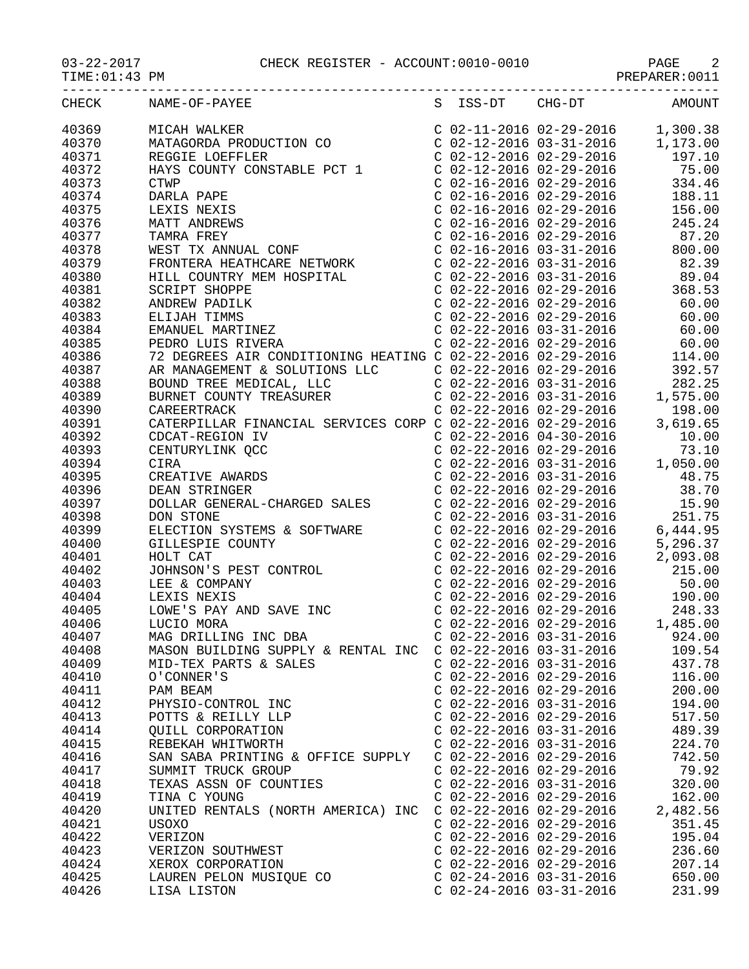|       | CHECK NAME-OF-PAYEE S ISS-DT CHG-DT AMOUNT |                           |          |
|-------|--------------------------------------------|---------------------------|----------|
| 40369 |                                            |                           |          |
| 40370 |                                            |                           |          |
| 40371 |                                            |                           |          |
| 40372 |                                            |                           |          |
| 40373 |                                            |                           |          |
| 40374 |                                            |                           |          |
| 40375 |                                            |                           |          |
| 40376 |                                            |                           |          |
| 40377 |                                            |                           |          |
| 40378 |                                            |                           |          |
| 40379 |                                            |                           |          |
| 40380 |                                            |                           |          |
| 40381 |                                            |                           |          |
| 40382 |                                            |                           |          |
| 40383 |                                            |                           |          |
| 40384 |                                            |                           |          |
| 40385 |                                            |                           |          |
| 40386 |                                            |                           |          |
| 40387 |                                            |                           |          |
|       |                                            |                           |          |
| 40388 |                                            |                           |          |
| 40389 |                                            |                           |          |
| 40390 |                                            |                           |          |
| 40391 |                                            |                           |          |
| 40392 |                                            |                           |          |
| 40393 |                                            |                           |          |
| 40394 |                                            |                           |          |
| 40395 |                                            |                           |          |
| 40396 |                                            |                           |          |
| 40397 |                                            |                           |          |
| 40398 |                                            |                           |          |
| 40399 |                                            |                           |          |
| 40400 |                                            |                           |          |
| 40401 |                                            |                           |          |
| 40402 |                                            |                           |          |
| 40403 |                                            |                           |          |
| 40404 |                                            |                           |          |
| 40405 |                                            |                           |          |
| 40406 |                                            |                           |          |
| 40407 |                                            |                           | 924.00   |
| 40408 | MASON BUILDING SUPPLY & RENTAL INC         | C 02-22-2016 03-31-2016   | 109.54   |
| 40409 | MID-TEX PARTS & SALES                      | $C$ 02-22-2016 03-31-2016 | 437.78   |
| 40410 | O'CONNER'S                                 | $C$ 02-22-2016 02-29-2016 | 116.00   |
| 40411 | PAM BEAM                                   | $C$ 02-22-2016 02-29-2016 | 200.00   |
| 40412 | PHYSIO-CONTROL INC                         | $C$ 02-22-2016 03-31-2016 | 194.00   |
| 40413 | POTTS & REILLY LLP                         | $C$ 02-22-2016 02-29-2016 | 517.50   |
| 40414 | OUILL CORPORATION                          | $C$ 02-22-2016 03-31-2016 | 489.39   |
| 40415 | REBEKAH WHITWORTH                          | $C$ 02-22-2016 03-31-2016 | 224.70   |
| 40416 | SAN SABA PRINTING & OFFICE SUPPLY          | $C$ 02-22-2016 02-29-2016 | 742.50   |
| 40417 | SUMMIT TRUCK GROUP                         | $C$ 02-22-2016 02-29-2016 | 79.92    |
| 40418 | TEXAS ASSN OF COUNTIES                     | $C$ 02-22-2016 03-31-2016 | 320.00   |
| 40419 | TINA C YOUNG                               | $C$ 02-22-2016 02-29-2016 | 162.00   |
| 40420 | UNITED RENTALS (NORTH AMERICA) INC         | $C$ 02-22-2016 02-29-2016 | 2,482.56 |
| 40421 | USOXO                                      | $C$ 02-22-2016 02-29-2016 | 351.45   |
| 40422 | VERIZON                                    | $C$ 02-22-2016 02-29-2016 | 195.04   |
| 40423 | VERIZON SOUTHWEST                          | $C$ 02-22-2016 02-29-2016 | 236.60   |
| 40424 | XEROX CORPORATION                          | $C$ 02-22-2016 02-29-2016 | 207.14   |
| 40425 | LAUREN PELON MUSIQUE CO                    | $C$ 02-24-2016 03-31-2016 | 650.00   |
|       |                                            |                           |          |

40426 LISA LISTON C 02-24-2016 03-31-2016 231.99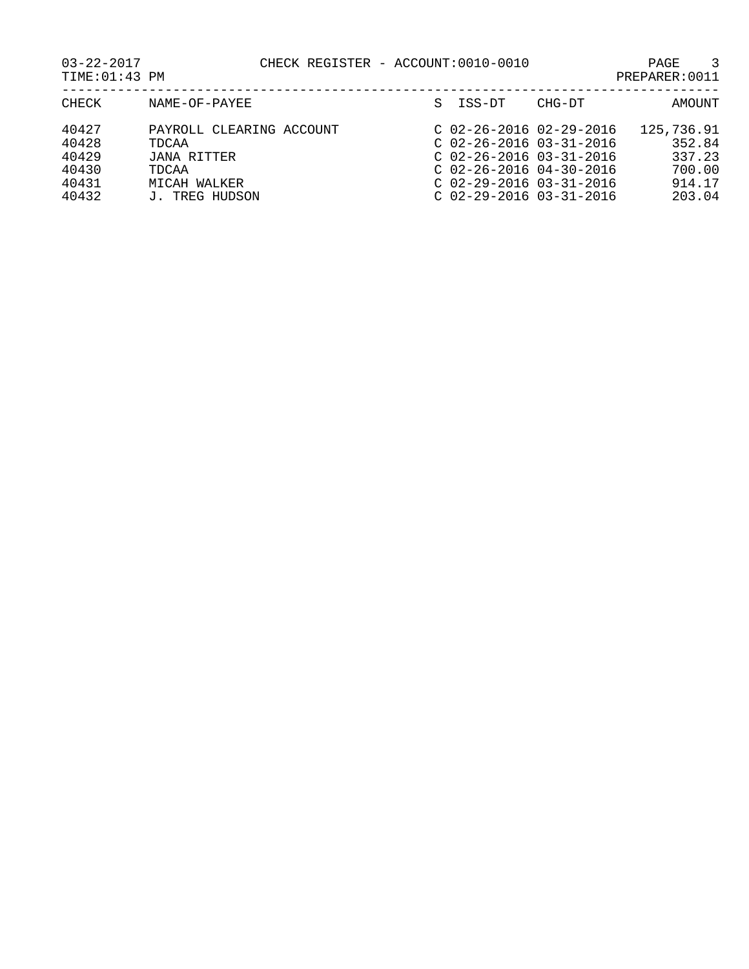03-22-2017 CHECK REGISTER - ACCOUNT:0010-0010 PAGE 3

| 22-2017     |  |  |  |
|-------------|--|--|--|
| 12:01:43 DM |  |  |  |

| PREPARER: 0011<br>TIME:01:43 PM |  |
|---------------------------------|--|
|---------------------------------|--|

| CHECK                   | NAME-OF-PAYEE                                    | S ISS-DT                                                                            | CHG-DT                                                 | AMOUNT                         |
|-------------------------|--------------------------------------------------|-------------------------------------------------------------------------------------|--------------------------------------------------------|--------------------------------|
| 40427<br>40428<br>40429 | PAYROLL CLEARING ACCOUNT<br>TDCAA<br>JANA RITTER | $C$ 02-26-2016 03-31-2016                                                           | $C$ 02-26-2016 02-29-2016<br>$C$ 02-26-2016 03-31-2016 | 125,736.91<br>352.84<br>337.23 |
| 40430<br>40431<br>40432 | TDCAA<br>MICAH WALKER<br>J. TREG HUDSON          | $C$ 02-26-2016 04-30-2016<br>$C$ 02-29-2016 03-31-2016<br>$C$ 02-29-2016 03-31-2016 |                                                        | 700.00<br>914.17<br>203.04     |